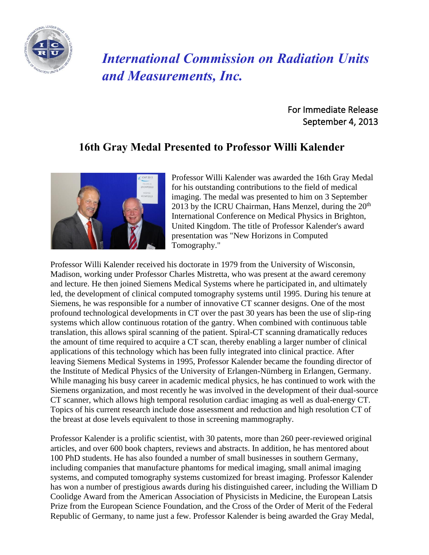

## *International Commission on Radiation Units and Measurements, Inc.*

 For Immediate Release September 4, 2013

## **16th Gray Medal Presented to Professor Willi Kalender**



Professor Willi Kalender was awarded the 16th Gray Medal for his outstanding contributions to the field of medical imaging. The medal was presented to him on 3 September 2013 by the ICRU Chairman, Hans Menzel, during the  $20<sup>th</sup>$ International Conference on Medical Physics in Brighton, United Kingdom. The title of Professor Kalender's award presentation was "New Horizons in Computed Tomography."

Professor Willi Kalender received his doctorate in 1979 from the University of Wisconsin, Madison, working under Professor Charles Mistretta, who was present at the award ceremony and lecture. He then joined Siemens Medical Systems where he participated in, and ultimately led, the development of clinical computed tomography systems until 1995. During his tenure at Siemens, he was responsible for a number of innovative CT scanner designs. One of the most profound technological developments in CT over the past 30 years has been the use of slip-ring systems which allow continuous rotation of the gantry. When combined with continuous table translation, this allows spiral scanning of the patient. Spiral-CT scanning dramatically reduces the amount of time required to acquire a CT scan, thereby enabling a larger number of clinical applications of this technology which has been fully integrated into clinical practice. After leaving Siemens Medical Systems in 1995, Professor Kalender became the founding director of the Institute of Medical Physics of the University of Erlangen-Nürnberg in Erlangen, Germany. While managing his busy career in academic medical physics, he has continued to work with the Siemens organization, and most recently he was involved in the development of their dual-source CT scanner, which allows high temporal resolution cardiac imaging as well as dual-energy CT. Topics of his current research include dose assessment and reduction and high resolution CT of the breast at dose levels equivalent to those in screening mammography.

Professor Kalender is a prolific scientist, with 30 patents, more than 260 peer-reviewed original articles, and over 600 book chapters, reviews and abstracts. In addition, he has mentored about 100 PhD students. He has also founded a number of small businesses in southern Germany, including companies that manufacture phantoms for medical imaging, small animal imaging systems, and computed tomography systems customized for breast imaging. Professor Kalender has won a number of prestigious awards during his distinguished career, including the William D Coolidge Award from the American Association of Physicists in Medicine, the European Latsis Prize from the European Science Foundation, and the Cross of the Order of Merit of the Federal Republic of Germany, to name just a few. Professor Kalender is being awarded the Gray Medal,